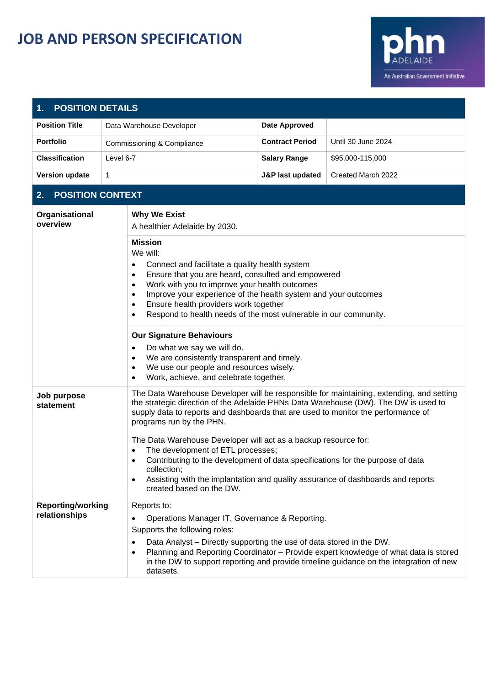## **JOB AND PERSON SPECIFICATION**



| <b>POSITION DETAILS</b><br>1.                                                                                                                                                                                                                                                                                                                                                                                                            |                                                                                                            |                                                                                                                                                                                                                                                                                                                                                                                                                                                                                                                                                   |                    |  |  |  |
|------------------------------------------------------------------------------------------------------------------------------------------------------------------------------------------------------------------------------------------------------------------------------------------------------------------------------------------------------------------------------------------------------------------------------------------|------------------------------------------------------------------------------------------------------------|---------------------------------------------------------------------------------------------------------------------------------------------------------------------------------------------------------------------------------------------------------------------------------------------------------------------------------------------------------------------------------------------------------------------------------------------------------------------------------------------------------------------------------------------------|--------------------|--|--|--|
| <b>Position Title</b>                                                                                                                                                                                                                                                                                                                                                                                                                    | Data Warehouse Developer                                                                                   | <b>Date Approved</b>                                                                                                                                                                                                                                                                                                                                                                                                                                                                                                                              |                    |  |  |  |
| <b>Portfolio</b>                                                                                                                                                                                                                                                                                                                                                                                                                         | Commissioning & Compliance                                                                                 | <b>Contract Period</b>                                                                                                                                                                                                                                                                                                                                                                                                                                                                                                                            | Until 30 June 2024 |  |  |  |
| <b>Classification</b>                                                                                                                                                                                                                                                                                                                                                                                                                    | Level 6-7                                                                                                  | <b>Salary Range</b>                                                                                                                                                                                                                                                                                                                                                                                                                                                                                                                               | \$95,000-115,000   |  |  |  |
| <b>Version update</b>                                                                                                                                                                                                                                                                                                                                                                                                                    | 1                                                                                                          | J&P last updated                                                                                                                                                                                                                                                                                                                                                                                                                                                                                                                                  | Created March 2022 |  |  |  |
| <b>POSITION CONTEXT</b><br>2.                                                                                                                                                                                                                                                                                                                                                                                                            |                                                                                                            |                                                                                                                                                                                                                                                                                                                                                                                                                                                                                                                                                   |                    |  |  |  |
| Organisational<br>overview                                                                                                                                                                                                                                                                                                                                                                                                               | <b>Why We Exist</b><br>A healthier Adelaide by 2030.                                                       |                                                                                                                                                                                                                                                                                                                                                                                                                                                                                                                                                   |                    |  |  |  |
| <b>Mission</b><br>We will:<br>Connect and facilitate a quality health system<br>٠<br>Ensure that you are heard, consulted and empowered<br>$\bullet$<br>Work with you to improve your health outcomes<br>$\bullet$<br>Improve your experience of the health system and your outcomes<br>$\bullet$<br>Ensure health providers work together<br>$\bullet$<br>Respond to health needs of the most vulnerable in our community.<br>$\bullet$ |                                                                                                            |                                                                                                                                                                                                                                                                                                                                                                                                                                                                                                                                                   |                    |  |  |  |
|                                                                                                                                                                                                                                                                                                                                                                                                                                          | Do what we say we will do.<br>$\bullet$<br>$\bullet$<br>$\bullet$<br>$\bullet$                             | <b>Our Signature Behaviours</b><br>We are consistently transparent and timely.<br>We use our people and resources wisely.<br>Work, achieve, and celebrate together.                                                                                                                                                                                                                                                                                                                                                                               |                    |  |  |  |
| Job purpose<br>statement                                                                                                                                                                                                                                                                                                                                                                                                                 | programs run by the PHN.<br>$\bullet$<br>$\bullet$<br>collection;<br>$\bullet$<br>created based on the DW. | The Data Warehouse Developer will be responsible for maintaining, extending, and setting<br>the strategic direction of the Adelaide PHNs Data Warehouse (DW). The DW is used to<br>supply data to reports and dashboards that are used to monitor the performance of<br>The Data Warehouse Developer will act as a backup resource for:<br>The development of ETL processes;<br>Contributing to the development of data specifications for the purpose of data<br>Assisting with the implantation and quality assurance of dashboards and reports |                    |  |  |  |
| <b>Reporting/working</b><br>Reports to:<br>relationships<br>Operations Manager IT, Governance & Reporting.<br>Supports the following roles:<br>Data Analyst - Directly supporting the use of data stored in the DW.<br>$\bullet$<br>Planning and Reporting Coordinator - Provide expert knowledge of what data is stored<br>٠<br>in the DW to support reporting and provide timeline guidance on the integration of new<br>datasets.     |                                                                                                            |                                                                                                                                                                                                                                                                                                                                                                                                                                                                                                                                                   |                    |  |  |  |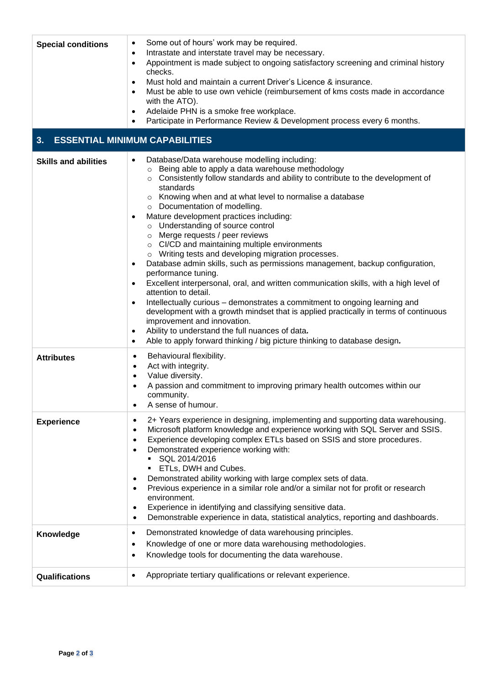| <b>Special conditions</b>   | Some out of hours' work may be required.<br>٠<br>Intrastate and interstate travel may be necessary.<br>$\bullet$<br>Appointment is made subject to ongoing satisfactory screening and criminal history<br>$\bullet$<br>checks.<br>Must hold and maintain a current Driver's Licence & insurance.<br>$\bullet$<br>Must be able to use own vehicle (reimbursement of kms costs made in accordance<br>$\bullet$<br>with the ATO).<br>Adelaide PHN is a smoke free workplace.<br>٠<br>Participate in Performance Review & Development process every 6 months.<br>$\bullet$                                                                                                                                                                                                                                                                                                                                                                                                                                                                                                                                                                                                   |
|-----------------------------|--------------------------------------------------------------------------------------------------------------------------------------------------------------------------------------------------------------------------------------------------------------------------------------------------------------------------------------------------------------------------------------------------------------------------------------------------------------------------------------------------------------------------------------------------------------------------------------------------------------------------------------------------------------------------------------------------------------------------------------------------------------------------------------------------------------------------------------------------------------------------------------------------------------------------------------------------------------------------------------------------------------------------------------------------------------------------------------------------------------------------------------------------------------------------|
| 3.                          | <b>ESSENTIAL MINIMUM CAPABILITIES</b>                                                                                                                                                                                                                                                                                                                                                                                                                                                                                                                                                                                                                                                                                                                                                                                                                                                                                                                                                                                                                                                                                                                                    |
| <b>Skills and abilities</b> | Database/Data warehouse modelling including:<br>$\bullet$<br>o Being able to apply a data warehouse methodology<br>○ Consistently follow standards and ability to contribute to the development of<br>standards<br>o Knowing when and at what level to normalise a database<br>o Documentation of modelling.<br>Mature development practices including:<br>$\bullet$<br>o Understanding of source control<br>$\circ$ Merge requests / peer reviews<br>o CI/CD and maintaining multiple environments<br>o Writing tests and developing migration processes.<br>Database admin skills, such as permissions management, backup configuration,<br>$\bullet$<br>performance tuning.<br>Excellent interpersonal, oral, and written communication skills, with a high level of<br>$\bullet$<br>attention to detail.<br>Intellectually curious - demonstrates a commitment to ongoing learning and<br>$\bullet$<br>development with a growth mindset that is applied practically in terms of continuous<br>improvement and innovation.<br>Ability to understand the full nuances of data.<br>٠<br>Able to apply forward thinking / big picture thinking to database design.<br>٠ |
| <b>Attributes</b>           | Behavioural flexibility.<br>$\bullet$<br>Act with integrity.<br>$\bullet$<br>Value diversity.<br>$\bullet$<br>A passion and commitment to improving primary health outcomes within our<br>community.<br>A sense of humour.<br>٠                                                                                                                                                                                                                                                                                                                                                                                                                                                                                                                                                                                                                                                                                                                                                                                                                                                                                                                                          |
| <b>Experience</b>           | 2+ Years experience in designing, implementing and supporting data warehousing.<br>$\bullet$<br>Microsoft platform knowledge and experience working with SQL Server and SSIS.<br>$\bullet$<br>Experience developing complex ETLs based on SSIS and store procedures.<br>$\bullet$<br>Demonstrated experience working with:<br>٠<br>SQL 2014/2016<br>ETLs, DWH and Cubes.<br>Demonstrated ability working with large complex sets of data.<br>٠<br>Previous experience in a similar role and/or a similar not for profit or research<br>$\bullet$<br>environment.<br>Experience in identifying and classifying sensitive data.<br>$\bullet$<br>Demonstrable experience in data, statistical analytics, reporting and dashboards.<br>$\bullet$                                                                                                                                                                                                                                                                                                                                                                                                                             |
| Knowledge                   | Demonstrated knowledge of data warehousing principles.<br>٠<br>Knowledge of one or more data warehousing methodologies.<br>$\bullet$<br>Knowledge tools for documenting the data warehouse.<br>$\bullet$                                                                                                                                                                                                                                                                                                                                                                                                                                                                                                                                                                                                                                                                                                                                                                                                                                                                                                                                                                 |
| Qualifications              | Appropriate tertiary qualifications or relevant experience.<br>$\bullet$                                                                                                                                                                                                                                                                                                                                                                                                                                                                                                                                                                                                                                                                                                                                                                                                                                                                                                                                                                                                                                                                                                 |